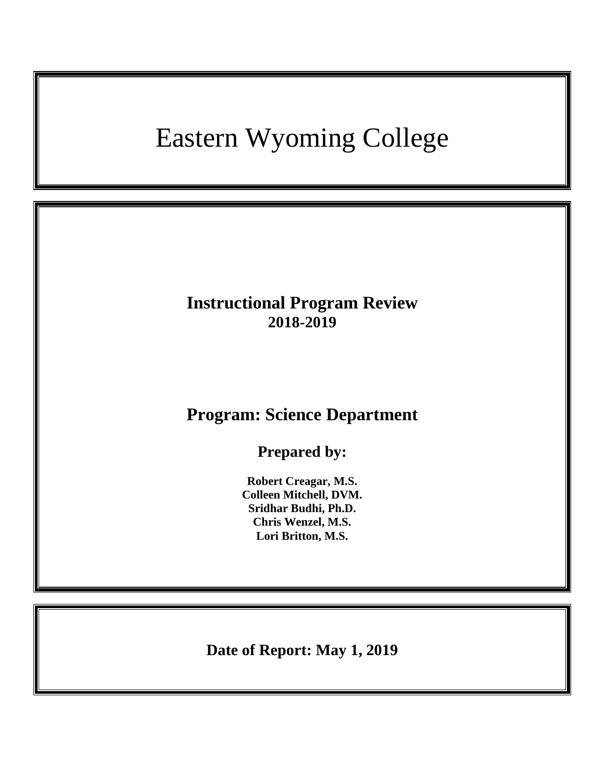# Eastern Wyoming College

### **Instructional Program Review 2018-2019**

## **Program: Science Department**

**Prepared by:**

**Robert Creagar, M.S. Colleen Mitchell, DVM. Sridhar Budhi, Ph.D. Chris Wenzel, M.S. Lori Britton, M.S.**

**Date of Report: May 1, 2019**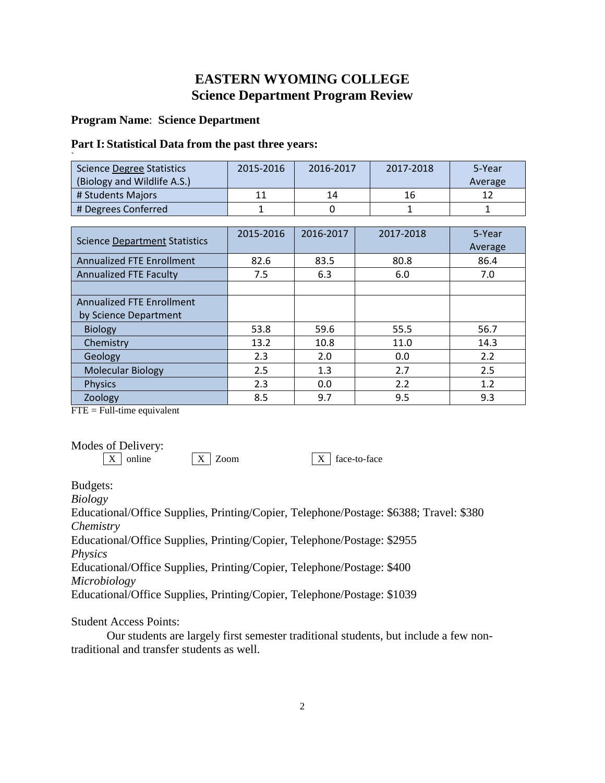### **EASTERN WYOMING COLLEGE Science Department Program Review**

#### **Program Name**: **Science Department**

#### **Part I: Statistical Data from the past three years:**

| <b>Science Degree Statistics</b> | 2015-2016 | 2016-2017 | 2017-2018 | 5-Year  |
|----------------------------------|-----------|-----------|-----------|---------|
| (Biology and Wildlife A.S.)      |           |           |           | Average |
| # Students Majors                |           | 14        | 16        |         |
| # Degrees Conferred              |           |           |           |         |

| <b>Science Department Statistics</b> | 2015-2016 | 2016-2017 | 2017-2018 | 5-Year<br>Average |
|--------------------------------------|-----------|-----------|-----------|-------------------|
| <b>Annualized FTE Enrollment</b>     | 82.6      | 83.5      | 80.8      | 86.4              |
| <b>Annualized FTE Faculty</b>        | 7.5       | 6.3       | 6.0       | 7.0               |
|                                      |           |           |           |                   |
| <b>Annualized FTE Enrollment</b>     |           |           |           |                   |
| by Science Department                |           |           |           |                   |
| <b>Biology</b>                       | 53.8      | 59.6      | 55.5      | 56.7              |
| Chemistry                            | 13.2      | 10.8      | 11.0      | 14.3              |
| Geology                              | 2.3       | 2.0       | 0.0       | 2.2               |
| <b>Molecular Biology</b>             | 2.5       | 1.3       | 2.7       | 2.5               |
| <b>Physics</b>                       | 2.3       | 0.0       | 2.2       | 1.2               |
| Zoology                              | 8.5       | 9.7       | 9.5       | 9.3               |

 $FTE = Full-time equivalent$ 

Modes of Delivery:<br> $\boxed{\text{X}}$  online

 $\boxed{X}$  Zoom  $\boxed{X}$  face-to-face

Budgets:

*Biology*

Educational/Office Supplies, Printing/Copier, Telephone/Postage: \$6388; Travel: \$380 *Chemistry*

Educational/Office Supplies, Printing/Copier, Telephone/Postage: \$2955 *Physics*

Educational/Office Supplies, Printing/Copier, Telephone/Postage: \$400 *Microbiology*

Educational/Office Supplies, Printing/Copier, Telephone/Postage: \$1039

Student Access Points:

Our students are largely first semester traditional students, but include a few nontraditional and transfer students as well.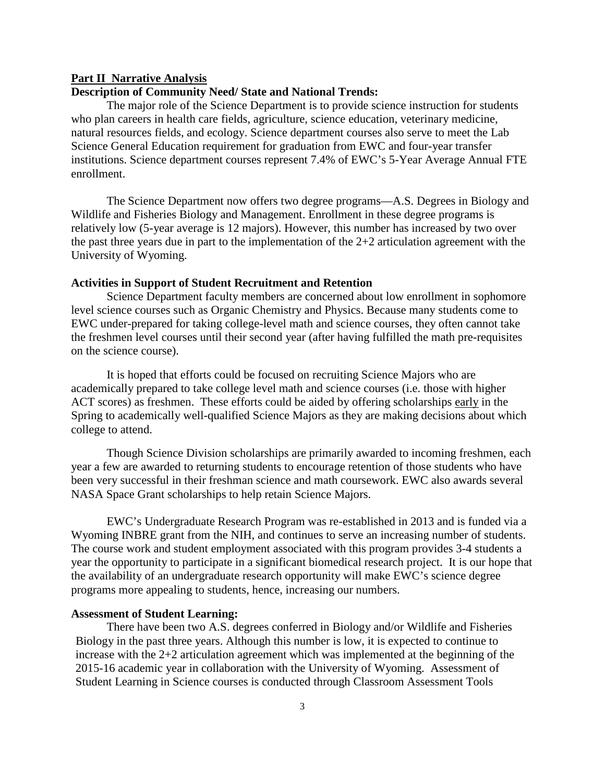#### **Part II Narrative Analysis**

#### **Description of Community Need/ State and National Trends:**

The major role of the Science Department is to provide science instruction for students who plan careers in health care fields, agriculture, science education, veterinary medicine, natural resources fields, and ecology. Science department courses also serve to meet the Lab Science General Education requirement for graduation from EWC and four-year transfer institutions. Science department courses represent 7.4% of EWC's 5-Year Average Annual FTE enrollment.

The Science Department now offers two degree programs—A.S. Degrees in Biology and Wildlife and Fisheries Biology and Management. Enrollment in these degree programs is relatively low (5-year average is 12 majors). However, this number has increased by two over the past three years due in part to the implementation of the 2+2 articulation agreement with the University of Wyoming.

#### **Activities in Support of Student Recruitment and Retention**

Science Department faculty members are concerned about low enrollment in sophomore level science courses such as Organic Chemistry and Physics. Because many students come to EWC under-prepared for taking college-level math and science courses, they often cannot take the freshmen level courses until their second year (after having fulfilled the math pre-requisites on the science course).

It is hoped that efforts could be focused on recruiting Science Majors who are academically prepared to take college level math and science courses (i.e. those with higher ACT scores) as freshmen. These efforts could be aided by offering scholarships early in the Spring to academically well-qualified Science Majors as they are making decisions about which college to attend.

Though Science Division scholarships are primarily awarded to incoming freshmen, each year a few are awarded to returning students to encourage retention of those students who have been very successful in their freshman science and math coursework. EWC also awards several NASA Space Grant scholarships to help retain Science Majors.

EWC's Undergraduate Research Program was re-established in 2013 and is funded via a Wyoming INBRE grant from the NIH, and continues to serve an increasing number of students. The course work and student employment associated with this program provides 3-4 students a year the opportunity to participate in a significant biomedical research project. It is our hope that the availability of an undergraduate research opportunity will make EWC's science degree programs more appealing to students, hence, increasing our numbers.

#### **Assessment of Student Learning:**

There have been two A.S. degrees conferred in Biology and/or Wildlife and Fisheries Biology in the past three years. Although this number is low, it is expected to continue to increase with the 2+2 articulation agreement which was implemented at the beginning of the 2015-16 academic year in collaboration with the University of Wyoming. Assessment of Student Learning in Science courses is conducted through Classroom Assessment Tools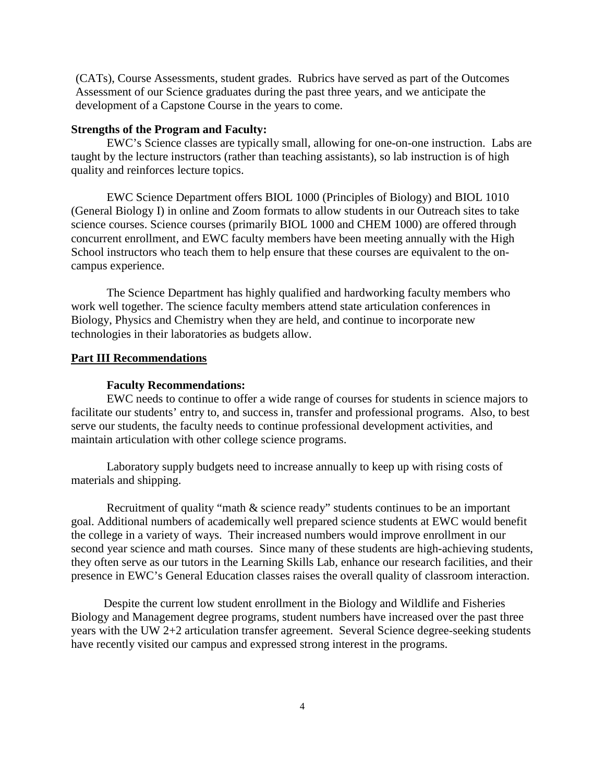(CATs), Course Assessments, student grades. Rubrics have served as part of the Outcomes Assessment of our Science graduates during the past three years, and we anticipate the development of a Capstone Course in the years to come.

#### **Strengths of the Program and Faculty:**

EWC's Science classes are typically small, allowing for one-on-one instruction. Labs are taught by the lecture instructors (rather than teaching assistants), so lab instruction is of high quality and reinforces lecture topics.

EWC Science Department offers BIOL 1000 (Principles of Biology) and BIOL 1010 (General Biology I) in online and Zoom formats to allow students in our Outreach sites to take science courses. Science courses (primarily BIOL 1000 and CHEM 1000) are offered through concurrent enrollment, and EWC faculty members have been meeting annually with the High School instructors who teach them to help ensure that these courses are equivalent to the oncampus experience.

The Science Department has highly qualified and hardworking faculty members who work well together. The science faculty members attend state articulation conferences in Biology, Physics and Chemistry when they are held, and continue to incorporate new technologies in their laboratories as budgets allow.

#### **Part III Recommendations**

#### **Faculty Recommendations:**

EWC needs to continue to offer a wide range of courses for students in science majors to facilitate our students' entry to, and success in, transfer and professional programs. Also, to best serve our students, the faculty needs to continue professional development activities, and maintain articulation with other college science programs.

Laboratory supply budgets need to increase annually to keep up with rising costs of materials and shipping.

Recruitment of quality "math & science ready" students continues to be an important goal. Additional numbers of academically well prepared science students at EWC would benefit the college in a variety of ways. Their increased numbers would improve enrollment in our second year science and math courses. Since many of these students are high-achieving students, they often serve as our tutors in the Learning Skills Lab, enhance our research facilities, and their presence in EWC's General Education classes raises the overall quality of classroom interaction.

 Despite the current low student enrollment in the Biology and Wildlife and Fisheries Biology and Management degree programs, student numbers have increased over the past three years with the UW 2+2 articulation transfer agreement. Several Science degree-seeking students have recently visited our campus and expressed strong interest in the programs.